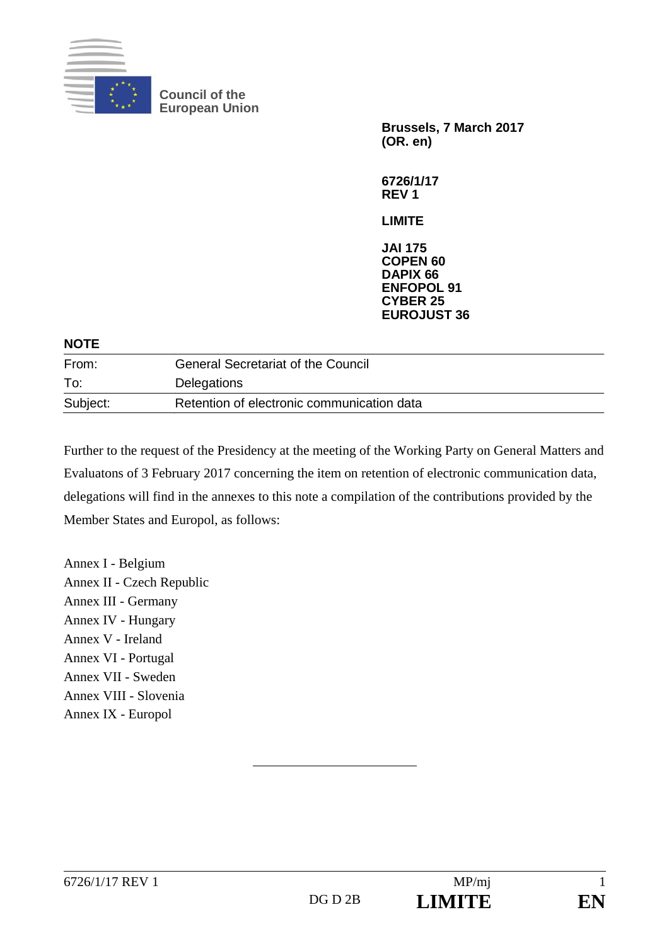

**Council of the European Union** 

> **Brussels, 7 March 2017 (OR. en)**

**6726/1/17 REV 1** 

**LIMITE** 

**JAI 175 COPEN 60 DAPIX 66 ENFOPOL 91 CYBER 25 EUROJUST 36**

| <b>NOTE</b> |                                            |
|-------------|--------------------------------------------|
| From:       | <b>General Secretariat of the Council</b>  |
| To:         | Delegations                                |
| Subject:    | Retention of electronic communication data |

Further to the request of the Presidency at the meeting of the Working Party on General Matters and Evaluatons of 3 February 2017 concerning the item on retention of electronic communication data, delegations will find in the annexes to this note a compilation of the contributions provided by the Member States and Europol, as follows:

Annex I - Belgium Annex II - Czech Republic Annex III - Germany Annex IV - Hungary Annex V - Ireland Annex VI - Portugal Annex VII - Sweden Annex VIII - Slovenia Annex IX - Europol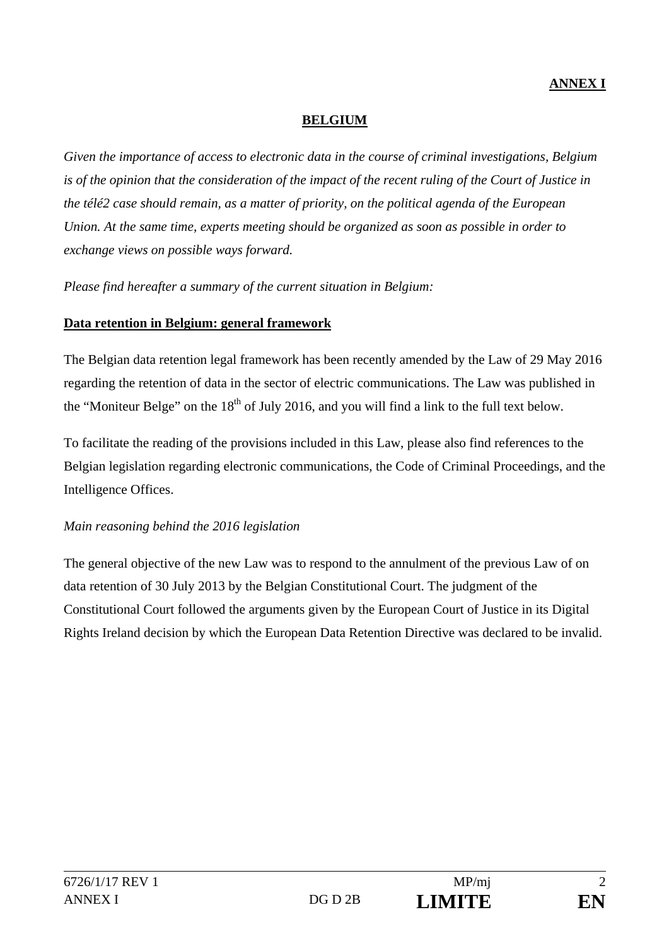# **ANNEX I**

#### **BELGIUM**

*Given the importance of access to electronic data in the course of criminal investigations, Belgium is of the opinion that the consideration of the impact of the recent ruling of the Court of Justice in the télé2 case should remain, as a matter of priority, on the political agenda of the European Union. At the same time, experts meeting should be organized as soon as possible in order to exchange views on possible ways forward.* 

*Please find hereafter a summary of the current situation in Belgium:* 

## **Data retention in Belgium: general framework**

The Belgian data retention legal framework has been recently amended by the Law of 29 May 2016 regarding the retention of data in the sector of electric communications. The Law was published in the "Moniteur Belge" on the  $18<sup>th</sup>$  of July 2016, and you will find a link to the full text below.

To facilitate the reading of the provisions included in this Law, please also find references to the Belgian legislation regarding electronic communications, the Code of Criminal Proceedings, and the Intelligence Offices.

# *Main reasoning behind the 2016 legislation*

The general objective of the new Law was to respond to the annulment of the previous Law of on data retention of 30 July 2013 by the Belgian Constitutional Court. The judgment of the Constitutional Court followed the arguments given by the European Court of Justice in its Digital Rights Ireland decision by which the European Data Retention Directive was declared to be invalid.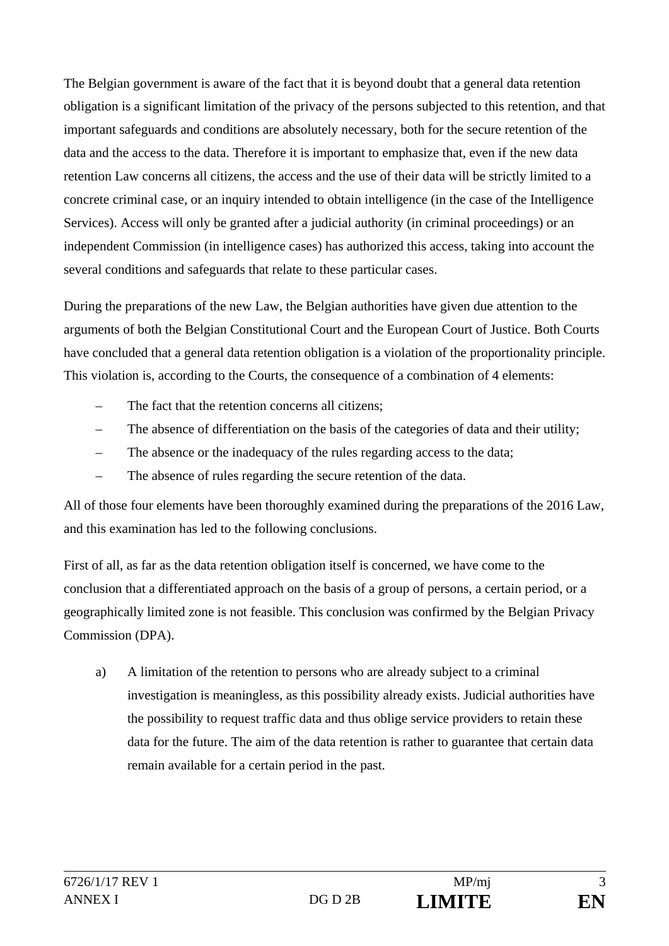The Belgian government is aware of the fact that it is beyond doubt that a general data retention obligation is a significant limitation of the privacy of the persons subjected to this retention, and that important safeguards and conditions are absolutely necessary, both for the secure retention of the data and the access to the data. Therefore it is important to emphasize that, even if the new data retention Law concerns all citizens, the access and the use of their data will be strictly limited to a concrete criminal case, or an inquiry intended to obtain intelligence (in the case of the Intelligence Services). Access will only be granted after a judicial authority (in criminal proceedings) or an independent Commission (in intelligence cases) has authorized this access, taking into account the several conditions and safeguards that relate to these particular cases.

During the preparations of the new Law, the Belgian authorities have given due attention to the arguments of both the Belgian Constitutional Court and the European Court of Justice. Both Courts have concluded that a general data retention obligation is a violation of the proportionality principle. This violation is, according to the Courts, the consequence of a combination of 4 elements:

- The fact that the retention concerns all citizens:
- The absence of differentiation on the basis of the categories of data and their utility;
- The absence or the inadequacy of the rules regarding access to the data;
- The absence of rules regarding the secure retention of the data.

All of those four elements have been thoroughly examined during the preparations of the 2016 Law, and this examination has led to the following conclusions.

First of all, as far as the data retention obligation itself is concerned, we have come to the conclusion that a differentiated approach on the basis of a group of persons, a certain period, or a geographically limited zone is not feasible. This conclusion was confirmed by the Belgian Privacy Commission (DPA).

a) A limitation of the retention to persons who are already subject to a criminal investigation is meaningless, as this possibility already exists. Judicial authorities have the possibility to request traffic data and thus oblige service providers to retain these data for the future. The aim of the data retention is rather to guarantee that certain data remain available for a certain period in the past.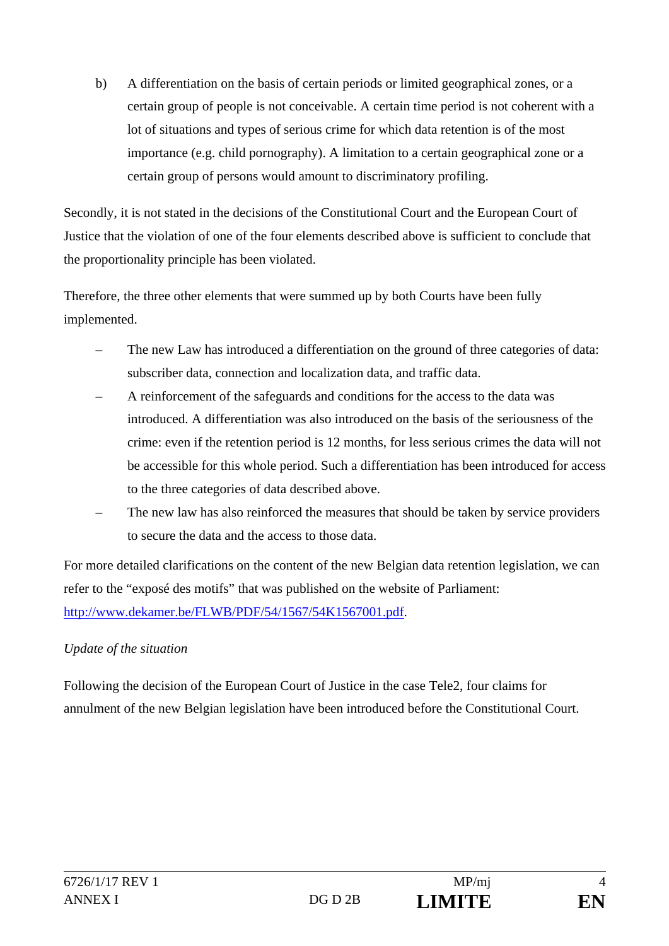b) A differentiation on the basis of certain periods or limited geographical zones, or a certain group of people is not conceivable. A certain time period is not coherent with a lot of situations and types of serious crime for which data retention is of the most importance (e.g. child pornography). A limitation to a certain geographical zone or a certain group of persons would amount to discriminatory profiling.

Secondly, it is not stated in the decisions of the Constitutional Court and the European Court of Justice that the violation of one of the four elements described above is sufficient to conclude that the proportionality principle has been violated.

Therefore, the three other elements that were summed up by both Courts have been fully implemented.

- The new Law has introduced a differentiation on the ground of three categories of data: subscriber data, connection and localization data, and traffic data.
- A reinforcement of the safeguards and conditions for the access to the data was introduced. A differentiation was also introduced on the basis of the seriousness of the crime: even if the retention period is 12 months, for less serious crimes the data will not be accessible for this whole period. Such a differentiation has been introduced for access to the three categories of data described above.
- The new law has also reinforced the measures that should be taken by service providers to secure the data and the access to those data.

For more detailed clarifications on the content of the new Belgian data retention legislation, we can refer to the "exposé des motifs" that was published on the website of Parliament: http://www.dekamer.be/FLWB/PDF/54/1567/54K1567001.pdf.

# *Update of the situation*

Following the decision of the European Court of Justice in the case Tele2, four claims for annulment of the new Belgian legislation have been introduced before the Constitutional Court.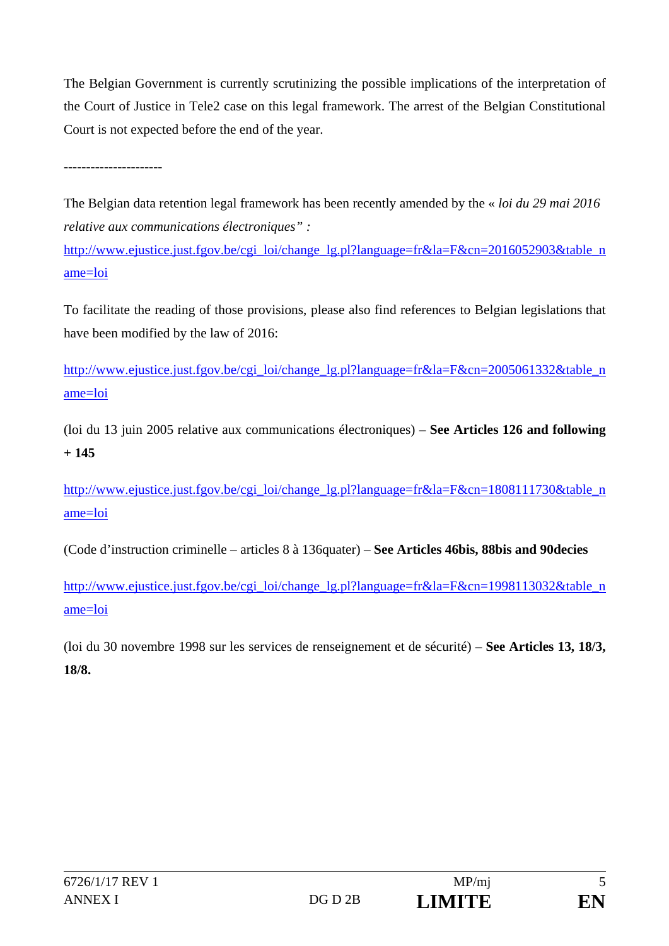The Belgian Government is currently scrutinizing the possible implications of the interpretation of the Court of Justice in Tele2 case on this legal framework. The arrest of the Belgian Constitutional Court is not expected before the end of the year.

The Belgian data retention legal framework has been recently amended by the « *loi du 29 mai 2016 relative aux communications électroniques" :* 

http://www.ejustice.just.fgov.be/cgi\_loi/change\_lg.pl?language=fr&la=F&cn=2016052903&table\_n ame=loi

To facilitate the reading of those provisions, please also find references to Belgian legislations that have been modified by the law of 2016:

http://www.ejustice.just.fgov.be/cgi\_loi/change\_lg.pl?language=fr&la=F&cn=2005061332&table\_n ame=loi

(loi du 13 juin 2005 relative aux communications électroniques) – **See Articles 126 and following + 145** 

http://www.ejustice.just.fgov.be/cgi\_loi/change\_lg.pl?language=fr&la=F&cn=1808111730&table\_n ame=loi

(Code d'instruction criminelle – articles 8 à 136quater) – **See Articles 46bis, 88bis and 90decies** 

http://www.ejustice.just.fgov.be/cgi\_loi/change\_lg.pl?language=fr&la=F&cn=1998113032&table\_n ame=loi

(loi du 30 novembre 1998 sur les services de renseignement et de sécurité) – **See Articles 13, 18/3, 18/8.**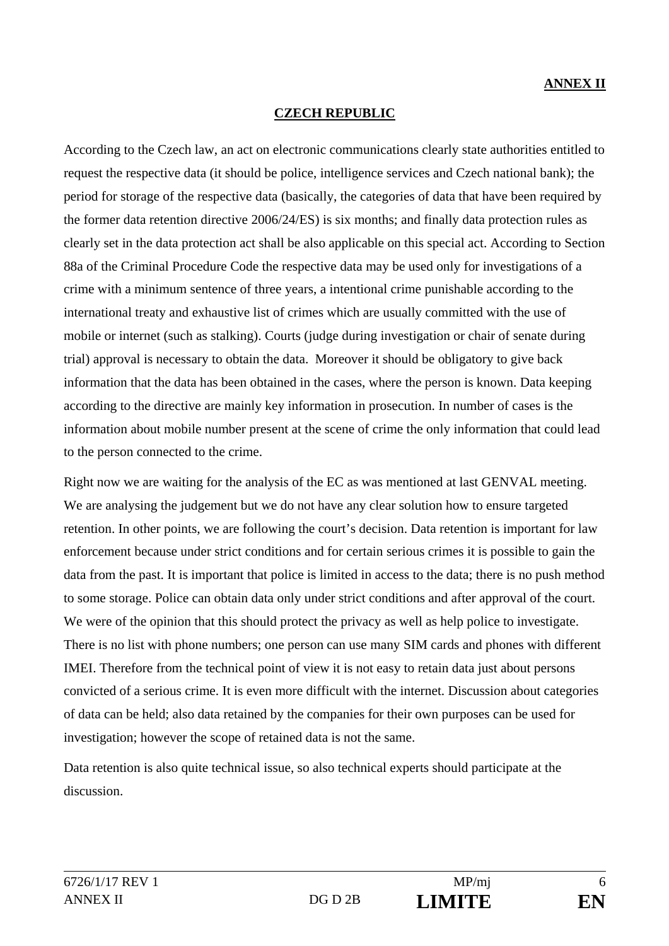# **CZECH REPUBLIC**

According to the Czech law, an act on electronic communications clearly state authorities entitled to request the respective data (it should be police, intelligence services and Czech national bank); the period for storage of the respective data (basically, the categories of data that have been required by the former data retention directive 2006/24/ES) is six months; and finally data protection rules as clearly set in the data protection act shall be also applicable on this special act. According to Section 88a of the Criminal Procedure Code the respective data may be used only for investigations of a crime with a minimum sentence of three years, a intentional crime punishable according to the international treaty and exhaustive list of crimes which are usually committed with the use of mobile or internet (such as stalking). Courts (judge during investigation or chair of senate during trial) approval is necessary to obtain the data. Moreover it should be obligatory to give back information that the data has been obtained in the cases, where the person is known. Data keeping according to the directive are mainly key information in prosecution. In number of cases is the information about mobile number present at the scene of crime the only information that could lead to the person connected to the crime.

Right now we are waiting for the analysis of the EC as was mentioned at last GENVAL meeting. We are analysing the judgement but we do not have any clear solution how to ensure targeted retention. In other points, we are following the court's decision. Data retention is important for law enforcement because under strict conditions and for certain serious crimes it is possible to gain the data from the past. It is important that police is limited in access to the data; there is no push method to some storage. Police can obtain data only under strict conditions and after approval of the court. We were of the opinion that this should protect the privacy as well as help police to investigate. There is no list with phone numbers; one person can use many SIM cards and phones with different IMEI. Therefore from the technical point of view it is not easy to retain data just about persons convicted of a serious crime. It is even more difficult with the internet. Discussion about categories of data can be held; also data retained by the companies for their own purposes can be used for investigation; however the scope of retained data is not the same.

Data retention is also quite technical issue, so also technical experts should participate at the discussion.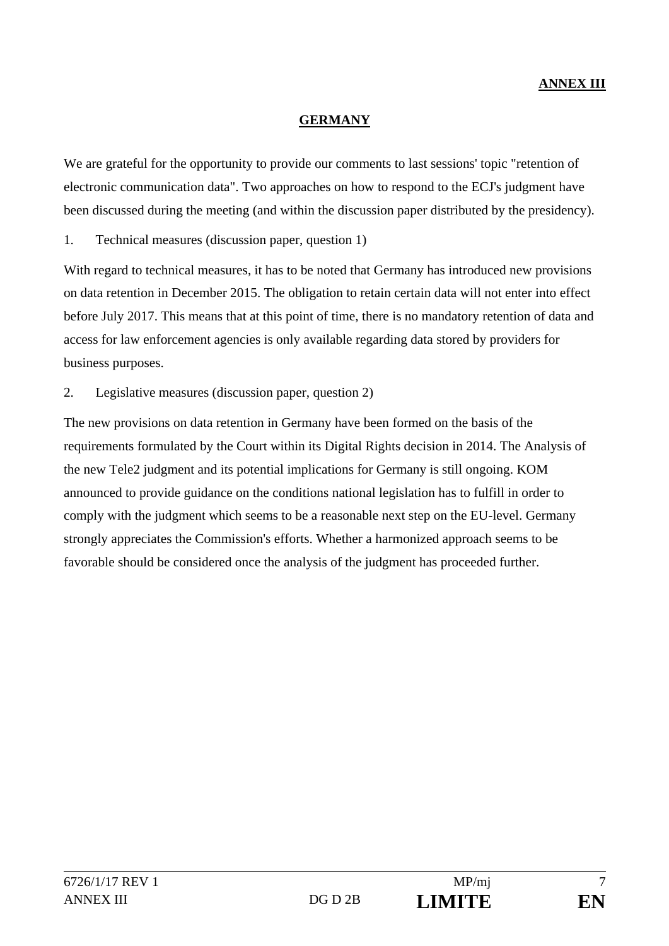#### **GERMANY**

We are grateful for the opportunity to provide our comments to last sessions' topic "retention of electronic communication data". Two approaches on how to respond to the ECJ's judgment have been discussed during the meeting (and within the discussion paper distributed by the presidency).

## 1. Technical measures (discussion paper, question 1)

With regard to technical measures, it has to be noted that Germany has introduced new provisions on data retention in December 2015. The obligation to retain certain data will not enter into effect before July 2017. This means that at this point of time, there is no mandatory retention of data and access for law enforcement agencies is only available regarding data stored by providers for business purposes.

2. Legislative measures (discussion paper, question 2)

The new provisions on data retention in Germany have been formed on the basis of the requirements formulated by the Court within its Digital Rights decision in 2014. The Analysis of the new Tele2 judgment and its potential implications for Germany is still ongoing. KOM announced to provide guidance on the conditions national legislation has to fulfill in order to comply with the judgment which seems to be a reasonable next step on the EU-level. Germany strongly appreciates the Commission's efforts. Whether a harmonized approach seems to be favorable should be considered once the analysis of the judgment has proceeded further.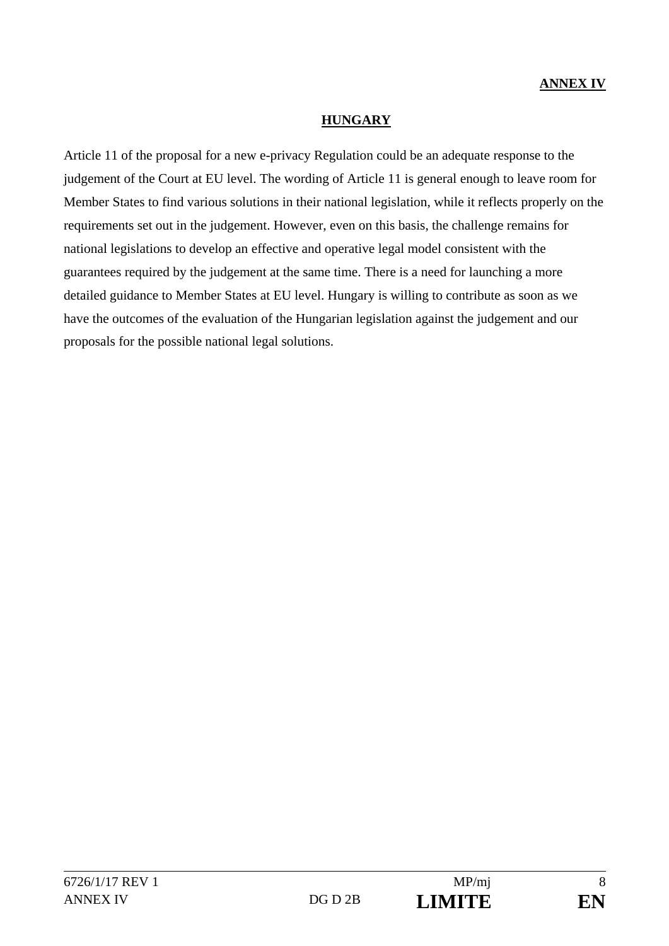#### **HUNGARY**

Article 11 of the proposal for a new e-privacy Regulation could be an adequate response to the judgement of the Court at EU level. The wording of Article 11 is general enough to leave room for Member States to find various solutions in their national legislation, while it reflects properly on the requirements set out in the judgement. However, even on this basis, the challenge remains for national legislations to develop an effective and operative legal model consistent with the guarantees required by the judgement at the same time. There is a need for launching a more detailed guidance to Member States at EU level. Hungary is willing to contribute as soon as we have the outcomes of the evaluation of the Hungarian legislation against the judgement and our proposals for the possible national legal solutions.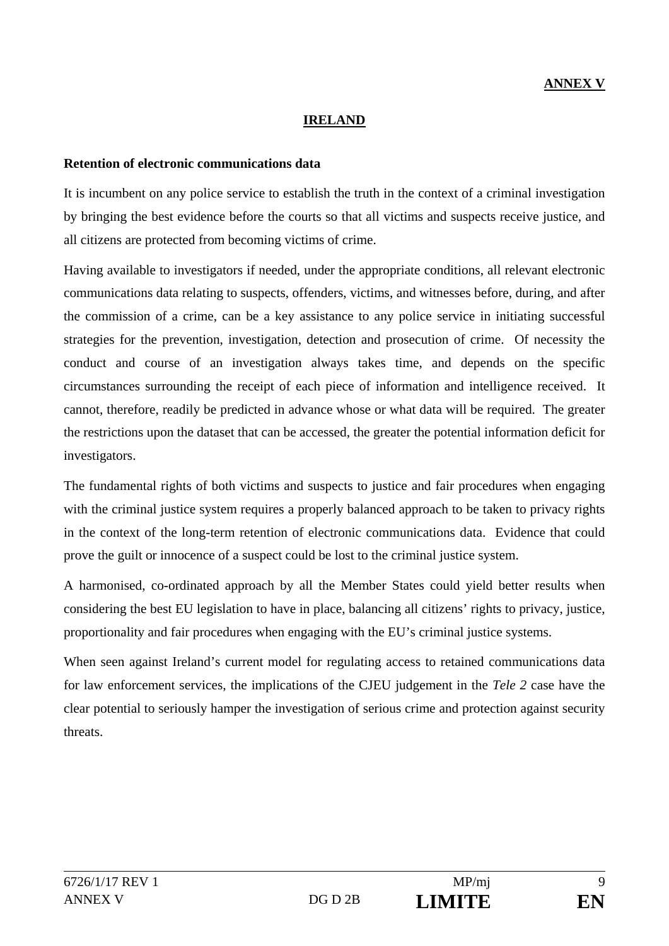#### **IRELAND**

#### **Retention of electronic communications data**

It is incumbent on any police service to establish the truth in the context of a criminal investigation by bringing the best evidence before the courts so that all victims and suspects receive justice, and all citizens are protected from becoming victims of crime.

Having available to investigators if needed, under the appropriate conditions, all relevant electronic communications data relating to suspects, offenders, victims, and witnesses before, during, and after the commission of a crime, can be a key assistance to any police service in initiating successful strategies for the prevention, investigation, detection and prosecution of crime. Of necessity the conduct and course of an investigation always takes time, and depends on the specific circumstances surrounding the receipt of each piece of information and intelligence received. It cannot, therefore, readily be predicted in advance whose or what data will be required. The greater the restrictions upon the dataset that can be accessed, the greater the potential information deficit for investigators.

The fundamental rights of both victims and suspects to justice and fair procedures when engaging with the criminal justice system requires a properly balanced approach to be taken to privacy rights in the context of the long-term retention of electronic communications data. Evidence that could prove the guilt or innocence of a suspect could be lost to the criminal justice system.

A harmonised, co-ordinated approach by all the Member States could yield better results when considering the best EU legislation to have in place, balancing all citizens' rights to privacy, justice, proportionality and fair procedures when engaging with the EU's criminal justice systems.

When seen against Ireland's current model for regulating access to retained communications data for law enforcement services, the implications of the CJEU judgement in the *Tele 2* case have the clear potential to seriously hamper the investigation of serious crime and protection against security threats.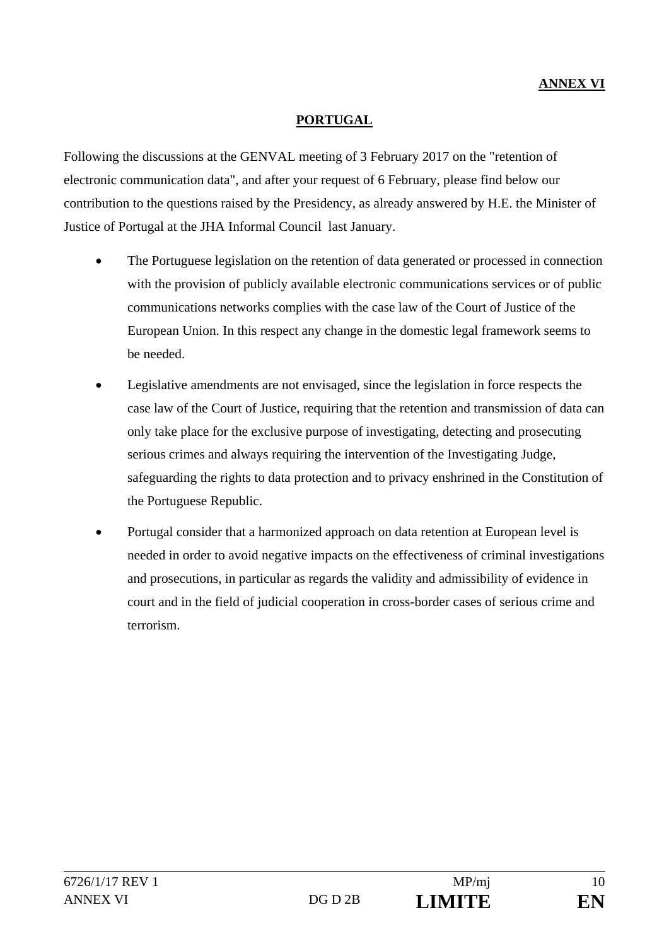## **PORTUGAL**

Following the discussions at the GENVAL meeting of 3 February 2017 on the "retention of electronic communication data", and after your request of 6 February, please find below our contribution to the questions raised by the Presidency, as already answered by H.E. the Minister of Justice of Portugal at the JHA Informal Council last January.

- The Portuguese legislation on the retention of data generated or processed in connection with the provision of publicly available electronic communications services or of public communications networks complies with the case law of the Court of Justice of the European Union. In this respect any change in the domestic legal framework seems to be needed.
- Legislative amendments are not envisaged, since the legislation in force respects the case law of the Court of Justice, requiring that the retention and transmission of data can only take place for the exclusive purpose of investigating, detecting and prosecuting serious crimes and always requiring the intervention of the Investigating Judge, safeguarding the rights to data protection and to privacy enshrined in the Constitution of the Portuguese Republic.
- Portugal consider that a harmonized approach on data retention at European level is needed in order to avoid negative impacts on the effectiveness of criminal investigations and prosecutions, in particular as regards the validity and admissibility of evidence in court and in the field of judicial cooperation in cross-border cases of serious crime and terrorism.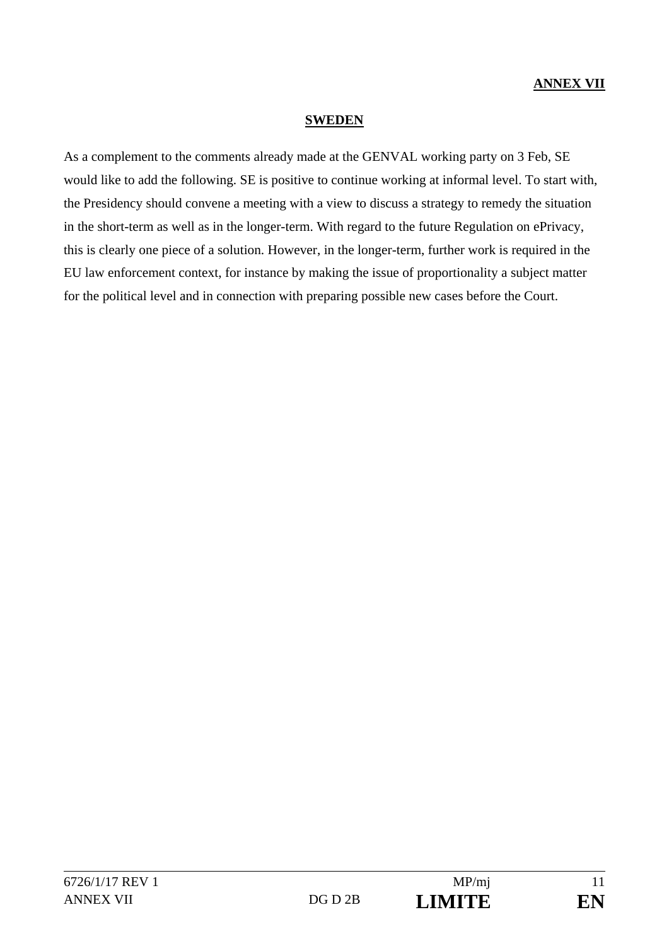#### **SWEDEN**

As a complement to the comments already made at the GENVAL working party on 3 Feb, SE would like to add the following. SE is positive to continue working at informal level. To start with, the Presidency should convene a meeting with a view to discuss a strategy to remedy the situation in the short-term as well as in the longer-term. With regard to the future Regulation on ePrivacy, this is clearly one piece of a solution. However, in the longer-term, further work is required in the EU law enforcement context, for instance by making the issue of proportionality a subject matter for the political level and in connection with preparing possible new cases before the Court.

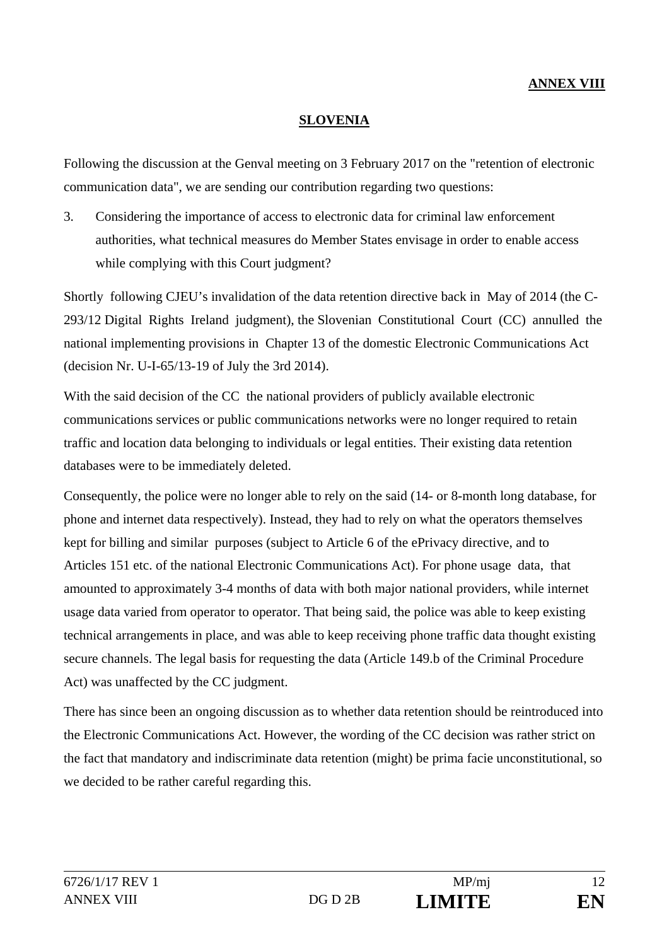# **ANNEX VIII**

#### **SLOVENIA**

Following the discussion at the Genval meeting on 3 February 2017 on the "retention of electronic communication data", we are sending our contribution regarding two questions:

3. Considering the importance of access to electronic data for criminal law enforcement authorities, what technical measures do Member States envisage in order to enable access while complying with this Court judgment?

Shortly following CJEU's invalidation of the data retention directive back in May of 2014 (the C-293/12 Digital Rights Ireland judgment), the Slovenian Constitutional Court (CC) annulled the national implementing provisions in Chapter 13 of the domestic Electronic Communications Act (decision Nr. U-I-65/13-19 of July the 3rd 2014).

With the said decision of the CC the national providers of publicly available electronic communications services or public communications networks were no longer required to retain traffic and location data belonging to individuals or legal entities. Their existing data retention databases were to be immediately deleted.

Consequently, the police were no longer able to rely on the said (14- or 8-month long database, for phone and internet data respectively). Instead, they had to rely on what the operators themselves kept for billing and similar purposes (subject to Article 6 of the ePrivacy directive, and to Articles 151 etc. of the national Electronic Communications Act). For phone usage data, that amounted to approximately 3-4 months of data with both major national providers, while internet usage data varied from operator to operator. That being said, the police was able to keep existing technical arrangements in place, and was able to keep receiving phone traffic data thought existing secure channels. The legal basis for requesting the data (Article 149.b of the Criminal Procedure Act) was unaffected by the CC judgment.

There has since been an ongoing discussion as to whether data retention should be reintroduced into the Electronic Communications Act. However, the wording of the CC decision was rather strict on the fact that mandatory and indiscriminate data retention (might) be prima facie unconstitutional, so we decided to be rather careful regarding this.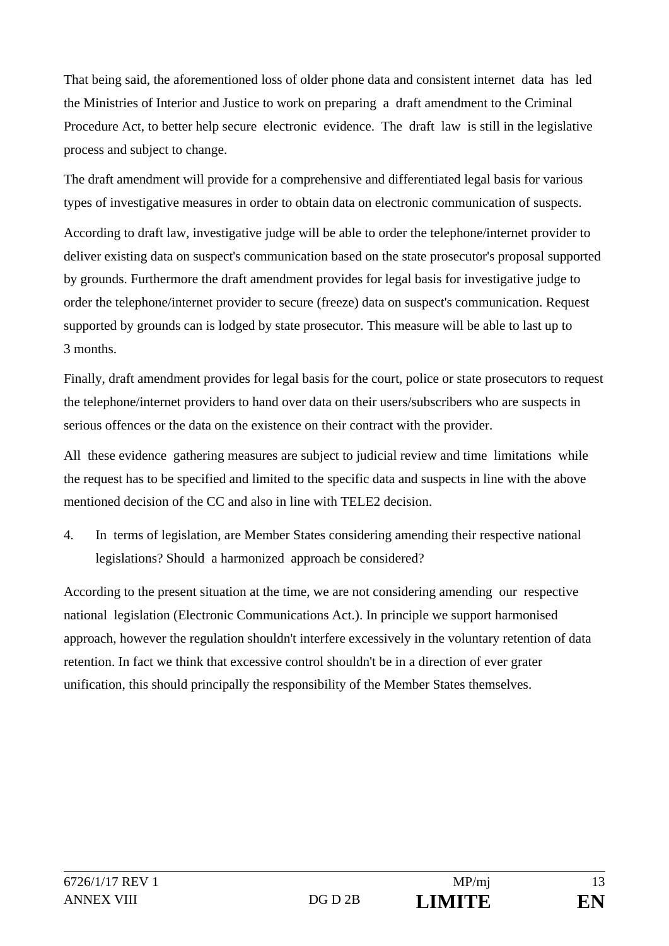That being said, the aforementioned loss of older phone data and consistent internet data has led the Ministries of Interior and Justice to work on preparing a draft amendment to the Criminal Procedure Act, to better help secure electronic evidence. The draft law is still in the legislative process and subject to change.

The draft amendment will provide for a comprehensive and differentiated legal basis for various types of investigative measures in order to obtain data on electronic communication of suspects.

According to draft law, investigative judge will be able to order the telephone/internet provider to deliver existing data on suspect's communication based on the state prosecutor's proposal supported by grounds. Furthermore the draft amendment provides for legal basis for investigative judge to order the telephone/internet provider to secure (freeze) data on suspect's communication. Request supported by grounds can is lodged by state prosecutor. This measure will be able to last up to 3 months.

Finally, draft amendment provides for legal basis for the court, police or state prosecutors to request the telephone/internet providers to hand over data on their users/subscribers who are suspects in serious offences or the data on the existence on their contract with the provider.

All these evidence gathering measures are subject to judicial review and time limitations while the request has to be specified and limited to the specific data and suspects in line with the above mentioned decision of the CC and also in line with TELE2 decision.

4. In terms of legislation, are Member States considering amending their respective national legislations? Should a harmonized approach be considered?

According to the present situation at the time, we are not considering amending our respective national legislation (Electronic Communications Act.). In principle we support harmonised approach, however the regulation shouldn't interfere excessively in the voluntary retention of data retention. In fact we think that excessive control shouldn't be in a direction of ever grater unification, this should principally the responsibility of the Member States themselves.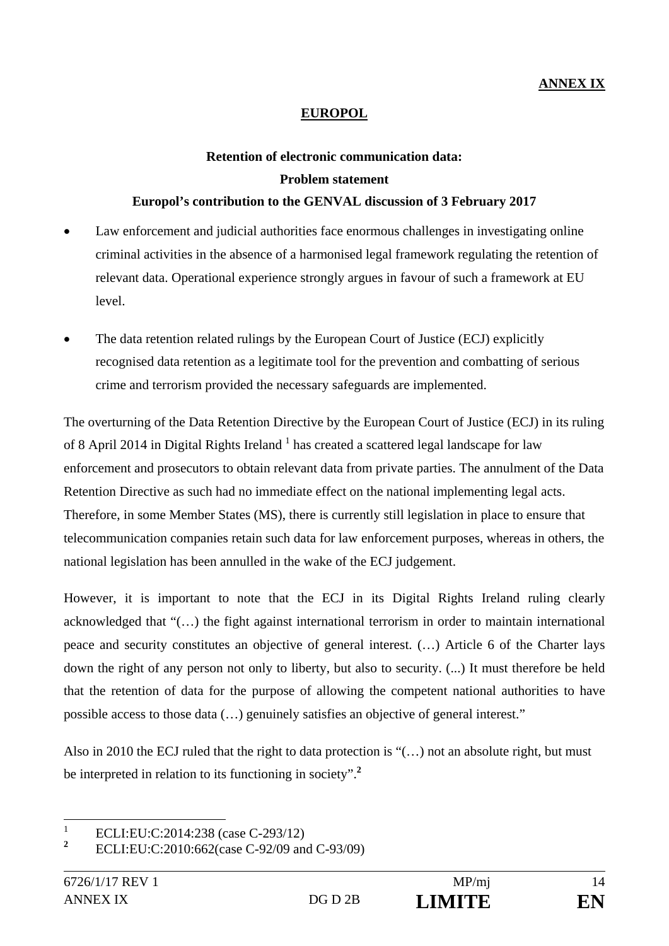# **EUROPOL**

# **Retention of electronic communication data: Problem statement Europol's contribution to the GENVAL discussion of 3 February 2017**

- Law enforcement and judicial authorities face enormous challenges in investigating online criminal activities in the absence of a harmonised legal framework regulating the retention of relevant data. Operational experience strongly argues in favour of such a framework at EU level.
- The data retention related rulings by the European Court of Justice (ECJ) explicitly recognised data retention as a legitimate tool for the prevention and combatting of serious crime and terrorism provided the necessary safeguards are implemented.

The overturning of the Data Retention Directive by the European Court of Justice (ECJ) in its ruling of 8 April 2014 in Digital Rights Ireland  $<sup>1</sup>$  has created a scattered legal landscape for law</sup> enforcement and prosecutors to obtain relevant data from private parties. The annulment of the Data Retention Directive as such had no immediate effect on the national implementing legal acts. Therefore, in some Member States (MS), there is currently still legislation in place to ensure that telecommunication companies retain such data for law enforcement purposes, whereas in others, the national legislation has been annulled in the wake of the ECJ judgement.

However, it is important to note that the ECJ in its Digital Rights Ireland ruling clearly acknowledged that "(…) the fight against international terrorism in order to maintain international peace and security constitutes an objective of general interest. (…) Article 6 of the Charter lays down the right of any person not only to liberty, but also to security. (...) It must therefore be held that the retention of data for the purpose of allowing the competent national authorities to have possible access to those data (…) genuinely satisfies an objective of general interest."

Also in 2010 the ECJ ruled that the right to data protection is "(…) not an absolute right, but must be interpreted in relation to its functioning in society".**<sup>2</sup>**

 $\frac{1}{1}$ ECLI:EU:C:2014:238 (case C-293/12)

**<sup>2</sup>** ECLI:EU:C:2010:662(case C-92/09 and C-93/09)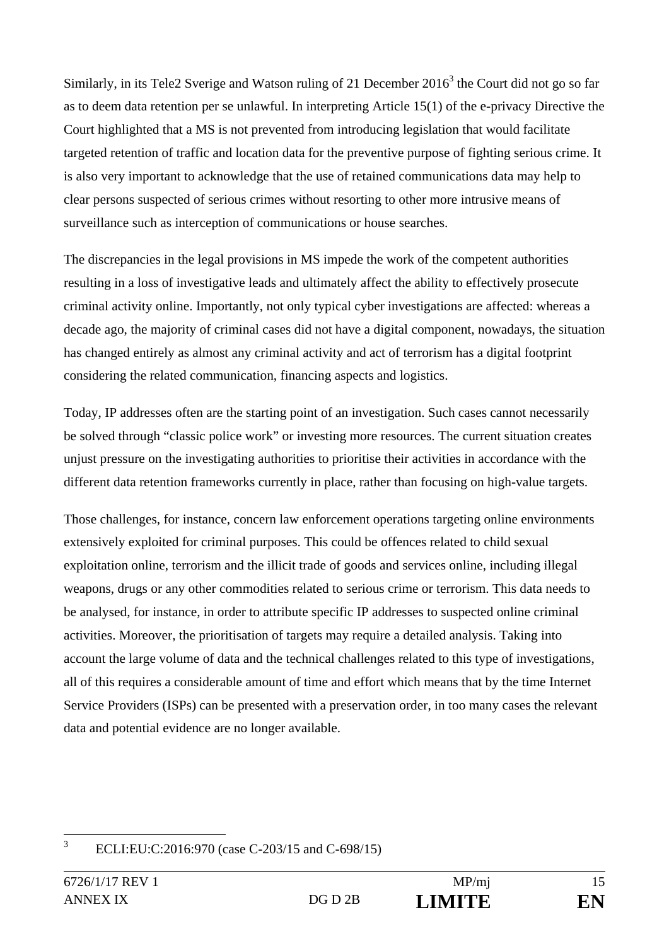Similarly, in its Tele2 Sverige and Watson ruling of 21 December  $2016<sup>3</sup>$  the Court did not go so far as to deem data retention per se unlawful. In interpreting Article 15(1) of the e-privacy Directive the Court highlighted that a MS is not prevented from introducing legislation that would facilitate targeted retention of traffic and location data for the preventive purpose of fighting serious crime. It is also very important to acknowledge that the use of retained communications data may help to clear persons suspected of serious crimes without resorting to other more intrusive means of surveillance such as interception of communications or house searches.

The discrepancies in the legal provisions in MS impede the work of the competent authorities resulting in a loss of investigative leads and ultimately affect the ability to effectively prosecute criminal activity online. Importantly, not only typical cyber investigations are affected: whereas a decade ago, the majority of criminal cases did not have a digital component, nowadays, the situation has changed entirely as almost any criminal activity and act of terrorism has a digital footprint considering the related communication, financing aspects and logistics.

Today, IP addresses often are the starting point of an investigation. Such cases cannot necessarily be solved through "classic police work" or investing more resources. The current situation creates unjust pressure on the investigating authorities to prioritise their activities in accordance with the different data retention frameworks currently in place, rather than focusing on high-value targets.

Those challenges, for instance, concern law enforcement operations targeting online environments extensively exploited for criminal purposes. This could be offences related to child sexual exploitation online, terrorism and the illicit trade of goods and services online, including illegal weapons, drugs or any other commodities related to serious crime or terrorism. This data needs to be analysed, for instance, in order to attribute specific IP addresses to suspected online criminal activities. Moreover, the prioritisation of targets may require a detailed analysis. Taking into account the large volume of data and the technical challenges related to this type of investigations, all of this requires a considerable amount of time and effort which means that by the time Internet Service Providers (ISPs) can be presented with a preservation order, in too many cases the relevant data and potential evidence are no longer available.

 $\overline{3}$ ECLI:EU:C:2016:970 (case C-203/15 and C-698/15)